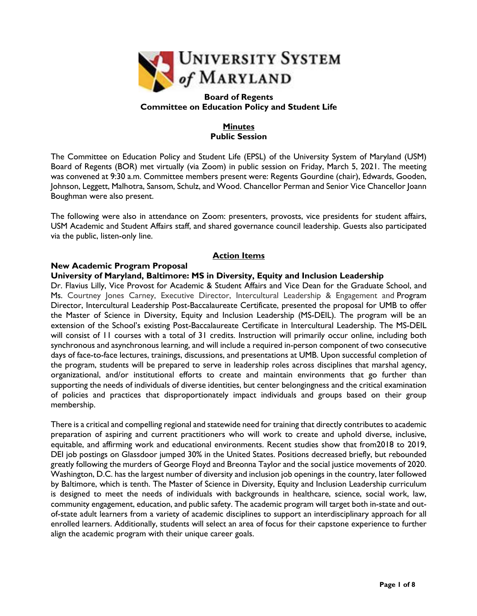

#### **Board of Regents Committee on Education Policy and Student Life**

## **Minutes Public Session**

The Committee on Education Policy and Student Life (EPSL) of the University System of Maryland (USM) Board of Regents (BOR) met virtually (via Zoom) in public session on Friday, March 5, 2021. The meeting was convened at 9:30 a.m. Committee members present were: Regents Gourdine (chair), Edwards, Gooden, Johnson, Leggett, Malhotra, Sansom, Schulz, and Wood. Chancellor Perman and Senior Vice Chancellor Joann Boughman were also present.

The following were also in attendance on Zoom: presenters, provosts, vice presidents for student affairs, USM Academic and Student Affairs staff, and shared governance council leadership. Guests also participated via the public, listen-only line.

# **Action Items**

# **University of Maryland, Baltimore: MS in Diversity, Equity and Inclusion Leadership**

**New Academic Program Proposal**

Dr. Flavius Lilly, Vice Provost for Academic & Student Affairs and Vice Dean for the Graduate School, and Ms. Courtney Jones Carney, Executive Director, Intercultural Leadership & Engagement and Program Director, Intercultural Leadership Post-Baccalaureate Certificate, presented the proposal for UMB to offer the Master of Science in Diversity, Equity and Inclusion Leadership (MS-DEIL). The program will be an extension of the School's existing Post-Baccalaureate Certificate in Intercultural Leadership. The MS-DEIL will consist of 11 courses with a total of 31 credits. Instruction will primarily occur online, including both synchronous and asynchronous learning, and will include a required in-person component of two consecutive days of face-to-face lectures, trainings, discussions, and presentations at UMB. Upon successful completion of the program, students will be prepared to serve in leadership roles across disciplines that marshal agency, organizational, and/or institutional efforts to create and maintain environments that go further than supporting the needs of individuals of diverse identities, but center belongingness and the critical examination of policies and practices that disproportionately impact individuals and groups based on their group membership.

There is a critical and compelling regional and statewide need for training that directly contributes to academic preparation of aspiring and current practitioners who will work to create and uphold diverse, inclusive, equitable, and affirming work and educational environments. Recent studies show that from2018 to 2019, DEI job postings on Glassdoor jumped 30% in the United States. Positions decreased briefly, but rebounded greatly following the murders of George Floyd and Breonna Taylor and the social justice movements of 2020. Washington, D.C. has the largest number of diversity and inclusion job openings in the country, later followed by Baltimore, which is tenth. The Master of Science in Diversity, Equity and Inclusion Leadership curriculum is designed to meet the needs of individuals with backgrounds in healthcare, science, social work, law, community engagement, education, and public safety. The academic program will target both in-state and outof-state adult learners from a variety of academic disciplines to support an interdisciplinary approach for all enrolled learners. Additionally, students will select an area of focus for their capstone experience to further align the academic program with their unique career goals.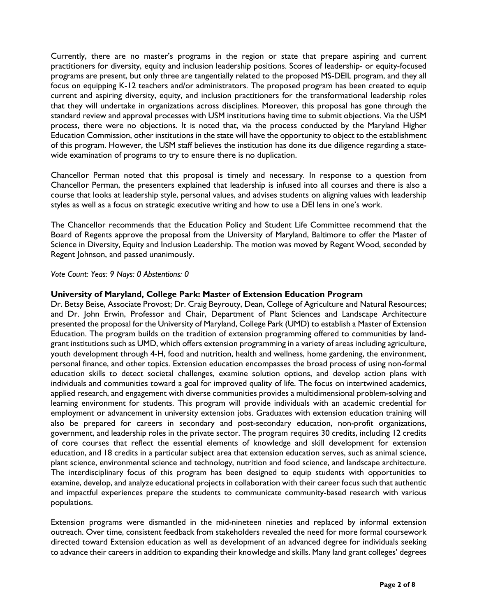Currently, there are no master's programs in the region or state that prepare aspiring and current practitioners for diversity, equity and inclusion leadership positions. Scores of leadership- or equity-focused programs are present, but only three are tangentially related to the proposed MS-DEIL program, and they all focus on equipping K-12 teachers and/or administrators. The proposed program has been created to equip current and aspiring diversity, equity, and inclusion practitioners for the transformational leadership roles that they will undertake in organizations across disciplines. Moreover, this proposal has gone through the standard review and approval processes with USM institutions having time to submit objections. Via the USM process, there were no objections. It is noted that, via the process conducted by the Maryland Higher Education Commission, other institutions in the state will have the opportunity to object to the establishment of this program. However, the USM staff believes the institution has done its due diligence regarding a statewide examination of programs to try to ensure there is no duplication.

Chancellor Perman noted that this proposal is timely and necessary. In response to a question from Chancellor Perman, the presenters explained that leadership is infused into all courses and there is also a course that looks at leadership style, personal values, and advises students on aligning values with leadership styles as well as a focus on strategic executive writing and how to use a DEI lens in one's work.

The Chancellor recommends that the Education Policy and Student Life Committee recommend that the Board of Regents approve the proposal from the University of Maryland, Baltimore to offer the Master of Science in Diversity, Equity and Inclusion Leadership. The motion was moved by Regent Wood, seconded by Regent Johnson, and passed unanimously.

#### *Vote Count: Yeas: 9 Nays: 0 Abstentions: 0*

#### **University of Maryland, College Park: Master of Extension Education Program**

Dr. Betsy Beise, Associate Provost; Dr. Craig Beyrouty, Dean, College of Agriculture and Natural Resources; and Dr. John Erwin, Professor and Chair, Department of Plant Sciences and Landscape Architecture presented the proposal for the University of Maryland, College Park (UMD) to establish a Master of Extension Education. The program builds on the tradition of extension programming offered to communities by landgrant institutions such as UMD, which offers extension programming in a variety of areas including agriculture, youth development through 4-H, food and nutrition, health and wellness, home gardening, the environment, personal finance, and other topics. Extension education encompasses the broad process of using non-formal education skills to detect societal challenges, examine solution options, and develop action plans with individuals and communities toward a goal for improved quality of life. The focus on intertwined academics, applied research, and engagement with diverse communities provides a multidimensional problem-solving and learning environment for students. This program will provide individuals with an academic credential for employment or advancement in university extension jobs. Graduates with extension education training will also be prepared for careers in secondary and post-secondary education, non-profit organizations, government, and leadership roles in the private sector. The program requires 30 credits, including 12 credits of core courses that reflect the essential elements of knowledge and skill development for extension education, and 18 credits in a particular subject area that extension education serves, such as animal science, plant science, environmental science and technology, nutrition and food science, and landscape architecture. The interdisciplinary focus of this program has been designed to equip students with opportunities to examine, develop, and analyze educational projects in collaboration with their career focus such that authentic and impactful experiences prepare the students to communicate community-based research with various populations.

Extension programs were dismantled in the mid-nineteen nineties and replaced by informal extension outreach. Over time, consistent feedback from stakeholders revealed the need for more formal coursework directed toward Extension education as well as development of an advanced degree for individuals seeking to advance their careers in addition to expanding their knowledge and skills. Many land grant colleges' degrees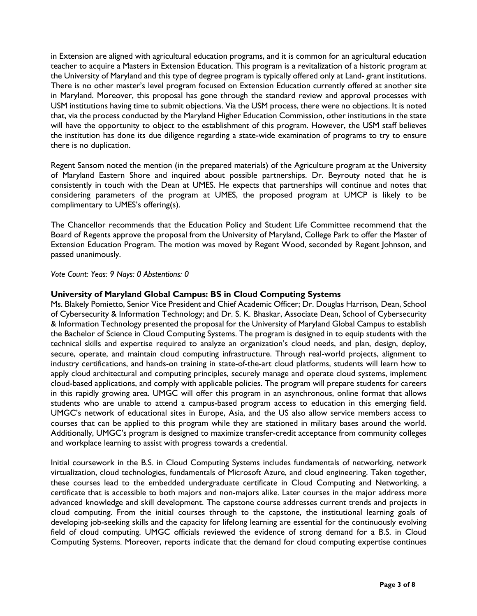in Extension are aligned with agricultural education programs, and it is common for an agricultural education teacher to acquire a Masters in Extension Education. This program is a revitalization of a historic program at the University of Maryland and this type of degree program is typically offered only at Land- grant institutions. There is no other master's level program focused on Extension Education currently offered at another site in Maryland. Moreover, this proposal has gone through the standard review and approval processes with USM institutions having time to submit objections. Via the USM process, there were no objections. It is noted that, via the process conducted by the Maryland Higher Education Commission, other institutions in the state will have the opportunity to object to the establishment of this program. However, the USM staff believes the institution has done its due diligence regarding a state-wide examination of programs to try to ensure there is no duplication.

Regent Sansom noted the mention (in the prepared materials) of the Agriculture program at the University of Maryland Eastern Shore and inquired about possible partnerships. Dr. Beyrouty noted that he is consistently in touch with the Dean at UMES. He expects that partnerships will continue and notes that considering parameters of the program at UMES, the proposed program at UMCP is likely to be complimentary to UMES's offering(s).

The Chancellor recommends that the Education Policy and Student Life Committee recommend that the Board of Regents approve the proposal from the University of Maryland, College Park to offer the Master of Extension Education Program. The motion was moved by Regent Wood, seconded by Regent Johnson, and passed unanimously.

*Vote Count: Yeas: 9 Nays: 0 Abstentions: 0* 

## **University of Maryland Global Campus: BS in Cloud Computing Systems**

Ms. Blakely Pomietto, Senior Vice President and Chief Academic Officer; Dr. Douglas Harrison, Dean, School of Cybersecurity & Information Technology; and Dr. S. K. Bhaskar, Associate Dean, School of Cybersecurity & Information Technology presented the proposal for the University of Maryland Global Campus to establish the Bachelor of Science in Cloud Computing Systems. The program is designed in to equip students with the technical skills and expertise required to analyze an organization's cloud needs, and plan, design, deploy, secure, operate, and maintain cloud computing infrastructure. Through real-world projects, alignment to industry certifications, and hands-on training in state-of-the-art cloud platforms, students will learn how to apply cloud architectural and computing principles, securely manage and operate cloud systems, implement cloud-based applications, and comply with applicable policies. The program will prepare students for careers in this rapidly growing area. UMGC will offer this program in an asynchronous, online format that allows students who are unable to attend a campus-based program access to education in this emerging field. UMGC's network of educational sites in Europe, Asia, and the US also allow service members access to courses that can be applied to this program while they are stationed in military bases around the world. Additionally, UMGC's program is designed to maximize transfer-credit acceptance from community colleges and workplace learning to assist with progress towards a credential.

Initial coursework in the B.S. in Cloud Computing Systems includes fundamentals of networking, network virtualization, cloud technologies, fundamentals of Microsoft Azure, and cloud engineering. Taken together, these courses lead to the embedded undergraduate certificate in Cloud Computing and Networking, a certificate that is accessible to both majors and non-majors alike. Later courses in the major address more advanced knowledge and skill development. The capstone course addresses current trends and projects in cloud computing. From the initial courses through to the capstone, the institutional learning goals of developing job-seeking skills and the capacity for lifelong learning are essential for the continuously evolving field of cloud computing. UMGC officials reviewed the evidence of strong demand for a B.S. in Cloud Computing Systems. Moreover, reports indicate that the demand for cloud computing expertise continues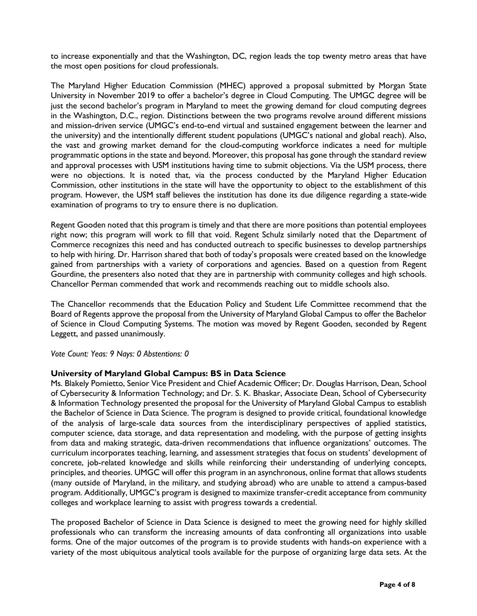to increase exponentially and that the Washington, DC, region leads the top twenty metro areas that have the most open positions for cloud professionals.

The Maryland Higher Education Commission (MHEC) approved a proposal submitted by Morgan State University in November 2019 to offer a bachelor's degree in Cloud Computing. The UMGC degree will be just the second bachelor's program in Maryland to meet the growing demand for cloud computing degrees in the Washington, D.C., region. Distinctions between the two programs revolve around different missions and mission-driven service (UMGC's end-to-end virtual and sustained engagement between the learner and the university) and the intentionally different student populations (UMGC's national and global reach). Also, the vast and growing market demand for the cloud-computing workforce indicates a need for multiple programmatic options in the state and beyond. Moreover, this proposal has gone through the standard review and approval processes with USM institutions having time to submit objections. Via the USM process, there were no objections. It is noted that, via the process conducted by the Maryland Higher Education Commission, other institutions in the state will have the opportunity to object to the establishment of this program. However, the USM staff believes the institution has done its due diligence regarding a state-wide examination of programs to try to ensure there is no duplication.

Regent Gooden noted that this program is timely and that there are more positions than potential employees right now; this program will work to fill that void. Regent Schulz similarly noted that the Department of Commerce recognizes this need and has conducted outreach to specific businesses to develop partnerships to help with hiring. Dr. Harrison shared that both of today's proposals were created based on the knowledge gained from partnerships with a variety of corporations and agencies. Based on a question from Regent Gourdine, the presenters also noted that they are in partnership with community colleges and high schools. Chancellor Perman commended that work and recommends reaching out to middle schools also.

The Chancellor recommends that the Education Policy and Student Life Committee recommend that the Board of Regents approve the proposal from the University of Maryland Global Campus to offer the Bachelor of Science in Cloud Computing Systems. The motion was moved by Regent Gooden, seconded by Regent Leggett, and passed unanimously.

*Vote Count: Yeas: 9 Nays: 0 Abstentions: 0* 

#### **University of Maryland Global Campus: BS in Data Science**

Ms. Blakely Pomietto, Senior Vice President and Chief Academic Officer; Dr. Douglas Harrison, Dean, School of Cybersecurity & Information Technology; and Dr. S. K. Bhaskar, Associate Dean, School of Cybersecurity & Information Technology presented the proposal for the University of Maryland Global Campus to establish the Bachelor of Science in Data Science. The program is designed to provide critical, foundational knowledge of the analysis of large-scale data sources from the interdisciplinary perspectives of applied statistics, computer science, data storage, and data representation and modeling, with the purpose of getting insights from data and making strategic, data-driven recommendations that influence organizations' outcomes. The curriculum incorporates teaching, learning, and assessment strategies that focus on students' development of concrete, job-related knowledge and skills while reinforcing their understanding of underlying concepts, principles, and theories. UMGC will offer this program in an asynchronous, online format that allows students (many outside of Maryland, in the military, and studying abroad) who are unable to attend a campus-based program. Additionally, UMGC's program is designed to maximize transfer-credit acceptance from community colleges and workplace learning to assist with progress towards a credential.

The proposed Bachelor of Science in Data Science is designed to meet the growing need for highly skilled professionals who can transform the increasing amounts of data confronting all organizations into usable forms. One of the major outcomes of the program is to provide students with hands-on experience with a variety of the most ubiquitous analytical tools available for the purpose of organizing large data sets. At the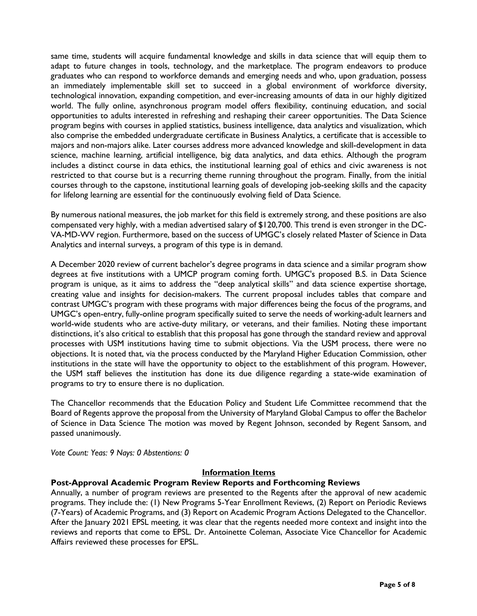same time, students will acquire fundamental knowledge and skills in data science that will equip them to adapt to future changes in tools, technology, and the marketplace. The program endeavors to produce graduates who can respond to workforce demands and emerging needs and who, upon graduation, possess an immediately implementable skill set to succeed in a global environment of workforce diversity, technological innovation, expanding competition, and ever-increasing amounts of data in our highly digitized world. The fully online, asynchronous program model offers flexibility, continuing education, and social opportunities to adults interested in refreshing and reshaping their career opportunities. The Data Science program begins with courses in applied statistics, business intelligence, data analytics and visualization, which also comprise the embedded undergraduate certificate in Business Analytics, a certificate that is accessible to majors and non-majors alike. Later courses address more advanced knowledge and skill-development in data science, machine learning, artificial intelligence, big data analytics, and data ethics. Although the program includes a distinct course in data ethics, the institutional learning goal of ethics and civic awareness is not restricted to that course but is a recurring theme running throughout the program. Finally, from the initial courses through to the capstone, institutional learning goals of developing job-seeking skills and the capacity for lifelong learning are essential for the continuously evolving field of Data Science.

By numerous national measures, the job market for this field is extremely strong, and these positions are also compensated very highly, with a median advertised salary of \$120,700. This trend is even stronger in the DC-VA-MD-WV region. Furthermore, based on the success of UMGC's closely related Master of Science in Data Analytics and internal surveys, a program of this type is in demand.

A December 2020 review of current bachelor's degree programs in data science and a similar program show degrees at five institutions with a UMCP program coming forth. UMGC's proposed B.S. in Data Science program is unique, as it aims to address the "deep analytical skills" and data science expertise shortage, creating value and insights for decision-makers. The current proposal includes tables that compare and contrast UMGC's program with these programs with major differences being the focus of the programs, and UMGC's open-entry, fully-online program specifically suited to serve the needs of working-adult learners and world-wide students who are active-duty military, or veterans, and their families. Noting these important distinctions, it's also critical to establish that this proposal has gone through the standard review and approval processes with USM institutions having time to submit objections. Via the USM process, there were no objections. It is noted that, via the process conducted by the Maryland Higher Education Commission, other institutions in the state will have the opportunity to object to the establishment of this program. However, the USM staff believes the institution has done its due diligence regarding a state-wide examination of programs to try to ensure there is no duplication.

The Chancellor recommends that the Education Policy and Student Life Committee recommend that the Board of Regents approve the proposal from the University of Maryland Global Campus to offer the Bachelor of Science in Data Science The motion was moved by Regent Johnson, seconded by Regent Sansom, and passed unanimously.

*Vote Count: Yeas: 9 Nays: 0 Abstentions: 0* 

#### **Information Items**

#### **Post-Approval Academic Program Review Reports and Forthcoming Reviews**

Annually, a number of program reviews are presented to the Regents after the approval of new academic programs. They include the: (1) New Programs 5-Year Enrollment Reviews, (2) Report on Periodic Reviews (7-Years) of Academic Programs, and (3) Report on Academic Program Actions Delegated to the Chancellor. After the January 2021 EPSL meeting, it was clear that the regents needed more context and insight into the reviews and reports that come to EPSL. Dr. Antoinette Coleman, Associate Vice Chancellor for Academic Affairs reviewed these processes for EPSL.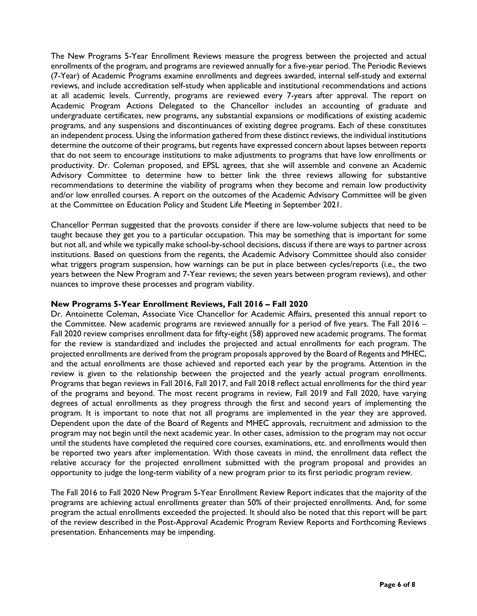The New Programs 5-Year Enrollment Reviews measure the progress between the projected and actual enrollments of the program, and programs are reviewed annually for a five-year period. The Periodic Reviews (7-Year) of Academic Programs examine enrollments and degrees awarded, internal self-study and external reviews, and include accreditation self-study when applicable and institutional recommendations and actions at all academic levels. Currently, programs are reviewed every 7-years after approval. The report on Academic Program Actions Delegated to the Chancellor includes an accounting of graduate and undergraduate certificates, new programs, any substantial expansions or modifications of existing academic programs, and any suspensions and discontinuances of existing degree programs. Each of these constitutes an independent process. Using the information gathered from these distinct reviews, the individual institutions determine the outcome of their programs, but regents have expressed concern about lapses between reports that do not seem to encourage institutions to make adjustments to programs that have low enrollments or productivity. Dr. Coleman proposed, and EPSL agrees, that she will assemble and convene an Academic Advisory Committee to determine how to better link the three reviews allowing for substantive recommendations to determine the viability of programs when they become and remain low productivity and/or low enrolled courses. A report on the outcomes of the Academic Advisory Committee will be given at the Committee on Education Policy and Student Life Meeting in September 2021.

Chancellor Perman suggested that the provosts consider if there are low-volume subjects that need to be taught because they get you to a particular occupation. This may be something that is important for some but not all, and while we typically make school-by-school decisions, discuss if there are ways to partner across institutions. Based on questions from the regents, the Academic Advisory Committee should also consider what triggers program suspension, how warnings can be put in place between cycles/reports (i.e., the two years between the New Program and 7-Year reviews; the seven years between program reviews), and other nuances to improve these processes and program viability.

#### **New Programs 5-Year Enrollment Reviews, Fall 2016 – Fall 2020**

Dr. Antoinette Coleman, Associate Vice Chancellor for Academic Affairs, presented this annual report to the Committee. New academic programs are reviewed annually for a period of five years. The Fall 2016 – Fall 2020 review comprises enrollment data for fifty-eight (58) approved new academic programs. The format for the review is standardized and includes the projected and actual enrollments for each program. The projected enrollments are derived from the program proposals approved by the Board of Regents and MHEC, and the actual enrollments are those achieved and reported each year by the programs. Attention in the review is given to the relationship between the projected and the yearly actual program enrollments. Programs that began reviews in Fall 2016, Fall 2017, and Fall 2018 reflect actual enrollments for the third year of the programs and beyond. The most recent programs in review, Fall 2019 and Fall 2020, have varying degrees of actual enrollments as they progress through the first and second years of implementing the program. It is important to note that not all programs are implemented in the year they are approved. Dependent upon the date of the Board of Regents and MHEC approvals, recruitment and admission to the program may not begin until the next academic year. In other cases, admission to the program may not occur until the students have completed the required core courses, examinations, etc. and enrollments would then be reported two years after implementation. With those caveats in mind, the enrollment data reflect the relative accuracy for the projected enrollment submitted with the program proposal and provides an opportunity to judge the long-term viability of a new program prior to its first periodic program review.

The Fall 2016 to Fall 2020 New Program 5-Year Enrollment Review Report indicates that the majority of the programs are achieving actual enrollments greater than 50% of their projected enrollments. And, for some program the actual enrollments exceeded the projected. It should also be noted that this report will be part of the review described in the Post-Approval Academic Program Review Reports and Forthcoming Reviews presentation. Enhancements may be impending.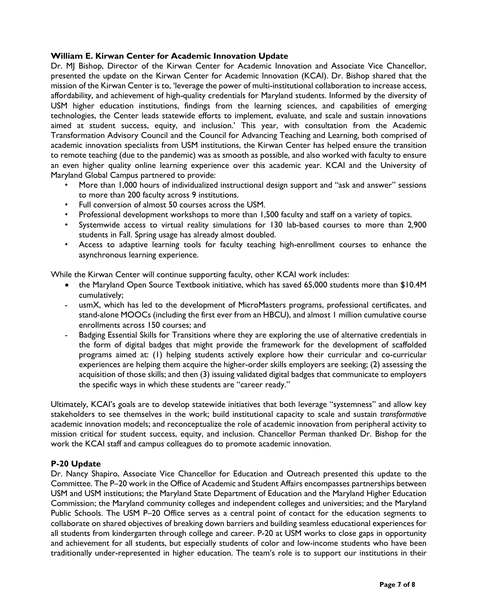### **William E. Kirwan Center for Academic Innovation Update**

Dr. MJ Bishop, Director of the Kirwan Center for Academic Innovation and Associate Vice Chancellor, presented the update on the Kirwan Center for Academic Innovation (KCAI). Dr. Bishop shared that the mission of the Kirwan Center is to, 'leverage the power of multi-institutional collaboration to increase access, affordability, and achievement of high-quality credentials for Maryland students. Informed by the diversity of USM higher education institutions, findings from the learning sciences, and capabilities of emerging technologies, the Center leads statewide efforts to implement, evaluate, and scale and sustain innovations aimed at student success, equity, and inclusion.' This year, with consultation from the Academic Transformation Advisory Council and the Council for Advancing Teaching and Learning, both comprised of academic innovation specialists from USM institutions, the Kirwan Center has helped ensure the transition to remote teaching (due to the pandemic) was as smooth as possible, and also worked with faculty to ensure an even higher quality online learning experience over this academic year. KCAI and the University of Maryland Global Campus partnered to provide:

- More than 1,000 hours of individualized instructional design support and "ask and answer" sessions to more than 200 faculty across 9 institutions.
- Full conversion of almost 50 courses across the USM.
- Professional development workshops to more than 1,500 faculty and staff on a variety of topics.
- Systemwide access to virtual reality simulations for 130 lab-based courses to more than 2,900 students in Fall. Spring usage has already almost doubled.
- Access to adaptive learning tools for faculty teaching high-enrollment courses to enhance the asynchronous learning experience.

While the Kirwan Center will continue supporting faculty, other KCAI work includes:

- the Maryland Open Source Textbook initiative, which has saved 65,000 students more than \$10.4M cumulatively;
- usmX, which has led to the development of MicroMasters programs, professional certificates, and stand-alone MOOCs (including the first ever from an HBCU), and almost 1 million cumulative course enrollments across 150 courses; and
- Badging Essential Skills for Transitions where they are exploring the use of alternative credentials in the form of digital badges that might provide the framework for the development of scaffolded programs aimed at: (1) helping students actively explore how their curricular and co-curricular experiences are helping them acquire the higher-order skills employers are seeking; (2) assessing the acquisition of those skills; and then (3) issuing validated digital badges that communicate to employers the specific ways in which these students are "career ready."

Ultimately, KCAI's goals are to develop statewide initiatives that both leverage "systemness" and allow key stakeholders to see themselves in the work; build institutional capacity to scale and sustain *transformative*  academic innovation models; and reconceptualize the role of academic innovation from peripheral activity to mission critical for student success, equity, and inclusion. Chancellor Perman thanked Dr. Bishop for the work the KCAI staff and campus colleagues do to promote academic innovation.

# **P-20 Update**

Dr. Nancy Shapiro, Associate Vice Chancellor for Education and Outreach presented this update to the Committee. The P–20 work in the Office of Academic and Student Affairs encompasses partnerships between USM and USM institutions; the Maryland State Department of Education and the Maryland Higher Education Commission; the Maryland community colleges and independent colleges and universities; and the Maryland Public Schools. The USM P-20 Office serves as a central point of contact for the education segments to collaborate on shared objectives of breaking down barriers and building seamless educational experiences for all students from kindergarten through college and career. P-20 at USM works to close gaps in opportunity and achievement for all students, but especially students of color and low-income students who have been traditionally under-represented in higher education. The team's role is to support our institutions in their